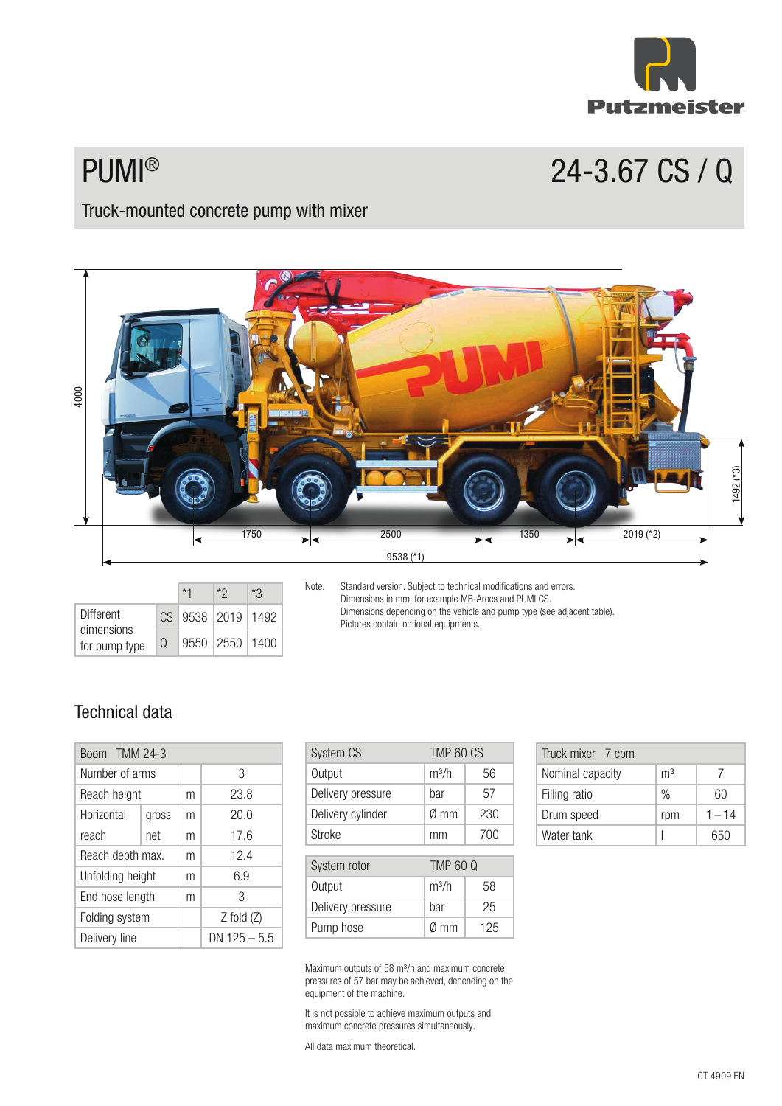

# PUMI® 24-3.67 CS / Q

## Truck-mounted concrete pump with mixer



|                                |          | ∗ŋ                | ×٩ |  |
|--------------------------------|----------|-------------------|----|--|
| <b>Different</b><br>dimensions |          | CS 9538 2019 1492 |    |  |
| for pump type                  | $\Omega$ | 9550 2550 1400    |    |  |

Note: Standard version. Subject to technical modifications and errors. Dimensions in mm, for example MB-Arocs and PUMI CS. Dimensions depending on the vehicle and pump type (see adjacent table). Pictures contain optional equipments.

## Technical data

| Boom TMM 24-3    |                  |   |                  |
|------------------|------------------|---|------------------|
| Number of arms   |                  |   | 3                |
| Reach height     |                  | m | 23.8             |
| Horizontal       | gross            | m | 20.0             |
| reach            | net              | m | 17.6             |
| Reach depth max. |                  | m | 12.4             |
|                  | Unfolding height |   | 6.9              |
| End hose length  |                  | m | 3                |
| Folding system   |                  |   | $Z$ fold $(Z)$   |
| Delivery line    |                  |   | $DN$ 125 $-$ 5.5 |

| System CS         | TMP 60 CS         |     |
|-------------------|-------------------|-----|
| Output            | m <sup>3</sup> /h | 56  |
| Delivery pressure | bar               | 57  |
| Delivery cylinder | Ø mm              | 230 |
| <b>Stroke</b>     | mm                | 700 |
|                   |                   |     |
| System rotor      | <b>TMP 60 Q</b>   |     |
| Output            | m <sup>3</sup> /h | 58  |
| Delivery pressure | bar               | 25  |
| Pump hose         | mm                | 125 |

| Truck mixer 7 chm |                |          |
|-------------------|----------------|----------|
| Nominal capacity  | m <sup>3</sup> |          |
| Filling ratio     | %              | 60       |
| Drum speed        | rpm            | $1 - 14$ |
| Water tank        |                | 650      |

Maximum outputs of 58 m³/h and maximum concrete pressures of 57 bar may be achieved, depending on the equipment of the machine.

It is not possible to achieve maximum outputs and maximum concrete pressures simultaneously.

All data maximum theoretical.